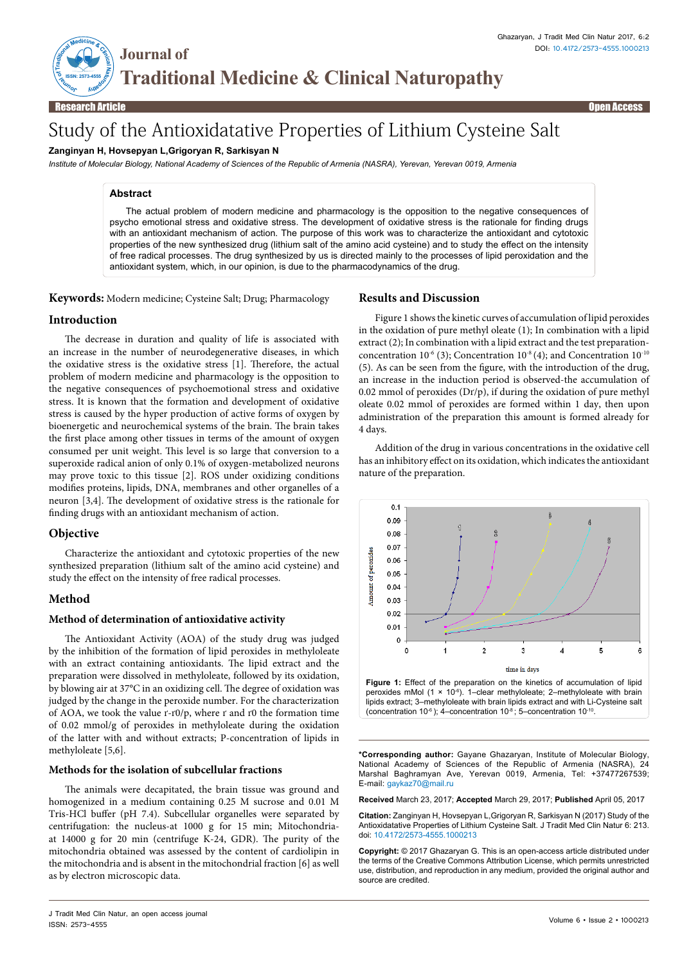THE MISSISSIPPE OF THE REAL PROPERTY **Journal of Traditional Medicine & Clinical Naturopathy**

**ISSN: 2573-4555**

# Study of the Antioxidatative Properties of Lithium Cysteine Salt

## **Zanginyan H, Hovsepyan L,Grigoryan R, Sarkisyan N**

*Institute of Molecular Biology, National Academy of Sciences of the Republic of Armenia (NASRA), Yerevan, Yerevan 0019, Armenia*

#### **Abstract**

The actual problem of modern medicine and pharmacology is the opposition to the negative consequences of psycho emotional stress and oxidative stress. The development of oxidative stress is the rationale for finding drugs with an antioxidant mechanism of action. The purpose of this work was to characterize the antioxidant and cytotoxic properties of the new synthesized drug (lithium salt of the amino acid cysteine) and to study the effect on the intensity of free radical processes. The drug synthesized by us is directed mainly to the processes of lipid peroxidation and the antioxidant system, which, in our opinion, is due to the pharmacodynamics of the drug.

**Keywords:** Modern medicine; Cysteine Salt; Drug; Pharmacology

#### **Introduction**

The decrease in duration and quality of life is associated with an increase in the number of neurodegenerative diseases, in which the oxidative stress is the oxidative stress [1]. Therefore, the actual problem of modern medicine and pharmacology is the opposition to the negative consequences of psychoemotional stress and oxidative stress. It is known that the formation and development of oxidative stress is caused by the hyper production of active forms of oxygen by bioenergetic and neurochemical systems of the brain. The brain takes the first place among other tissues in terms of the amount of oxygen consumed per unit weight. This level is so large that conversion to a superoxide radical anion of only 0.1% of oxygen-metabolized neurons may prove toxic to this tissue [2]. ROS under oxidizing conditions modifies proteins, lipids, DNA, membranes and other organelles of a neuron [3,4]. The development of oxidative stress is the rationale for finding drugs with an antioxidant mechanism of action.

## **Objective**

Characterize the antioxidant and cytotoxic properties of the new synthesized preparation (lithium salt of the amino acid cysteine) and study the effect on the intensity of free radical processes.

## **Method**

#### **Method of determination of antioxidative activity**

The Antioxidant Activity (AOA) of the study drug was judged by the inhibition of the formation of lipid peroxides in methyloleate with an extract containing antioxidants. The lipid extract and the preparation were dissolved in methyloleate, followed by its oxidation, by blowing air at 37°C in an oxidizing cell. The degree of oxidation was judged by the change in the peroxide number. For the characterization of AOA, we took the value ґ-ґ0/p, where ґ and ґ0 the formation time of 0.02 mmol/g of peroxides in methyloleate during the oxidation of the latter with and without extracts; P-concentration of lipids in methyloleate [5,6].

#### **Methods for the isolation of subcellular fractions**

The animals were decapitated, the brain tissue was ground and homogenized in a medium containing 0.25 M sucrose and 0.01 M Tris-HCl buffer (pH 7.4). Subcellular organelles were separated by centrifugation: the nucleus-at 1000 g for 15 min; Mitochondriaat 14000 g for 20 min (centrifuge K-24, GDR). The purity of the mitochondria obtained was assessed by the content of cardiolipin in the mitochondria and is absent in the mitochondrial fraction [6] as well as by electron microscopic data.

# **Results and Discussion**

Figure 1 shows the kinetic curves of accumulation of lipid peroxides in the oxidation of pure methyl oleate (1); In combination with a lipid extract (2); In combination with a lipid extract and the test preparationconcentration  $10^{-6}$  (3); Concentration  $10^{-8}$  (4); and Concentration  $10^{-10}$ (5). As can be seen from the figure, with the introduction of the drug, an increase in the induction period is observed-the accumulation of 0.02 mmol of peroxides  $(Dr/p)$ , if during the oxidation of pure methyl oleate 0.02 mmol of peroxides are formed within 1 day, then upon administration of the preparation this amount is formed already for 4 days.

Addition of the drug in various concentrations in the oxidative cell has an inhibitory effect on its oxidation, which indicates the antioxidant nature of the preparation.



(concentration 10 $^6$ ); 4–concentration 10 $^8$ ; 5–concentration 10<sup>-10</sup>.

**\*Corresponding author:** Gayane Ghazaryan, Institute of Molecular Biology, National Academy of Sciences of the Republic of Armenia (NASRA), 24 Marshal Baghramyan Ave, Yerevan 0019, Armenia, Tel: +37477267539; E-mail: gaykaz70@mail.ru

**Received** March 23, 2017; **Accepted** March 29, 2017; **Published** April 05, 2017

**Citation:** Zanginyan H, Hovsepyan L,Grigoryan R, Sarkisyan N (2017) Study of the Antioxidatative Properties of Lithium Cysteine Salt. J Tradit Med Clin Natur 6: 213. doi: 10.4172/2573-4555.1000213

**Copyright:** © 2017 Ghazaryan G. This is an open-access article distributed under the terms of the Creative Commons Attribution License, which permits unrestricted use, distribution, and reproduction in any medium, provided the original author and source are credited.

J Tradit Med Clin Natur, an open access journal ISSN: 2573-4555